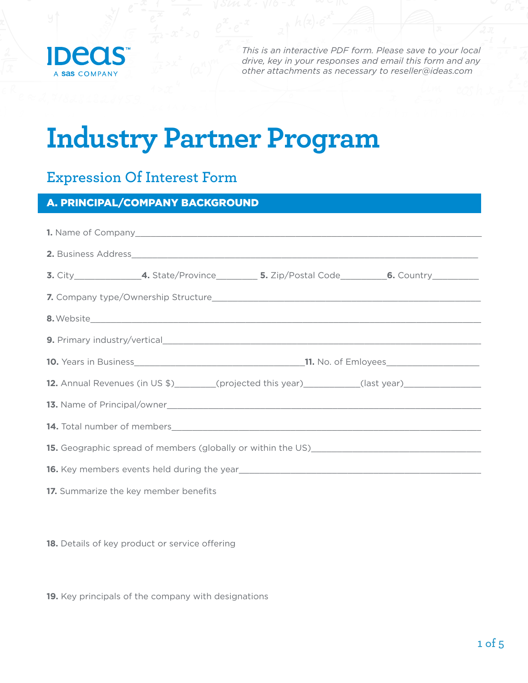

*This is an interactive PDF form. Please save to your local drive, key in your responses and email this form and any other attachments as necessary to [reseller@ideas.com](mailto:reseller%40ideas.com?subject=)*

# **Industry Partner Program**

# **Expression Of Interest Form**

# A. PRINCIPAL/COMPANY BACKGROUND

|                                       |                                                                                                               |  | <b>3.</b> City______________________4. State/Province_____________5. Zip/Postal Code____________6. Country__________ |  |
|---------------------------------------|---------------------------------------------------------------------------------------------------------------|--|----------------------------------------------------------------------------------------------------------------------|--|
|                                       |                                                                                                               |  |                                                                                                                      |  |
|                                       |                                                                                                               |  |                                                                                                                      |  |
|                                       |                                                                                                               |  |                                                                                                                      |  |
|                                       |                                                                                                               |  |                                                                                                                      |  |
|                                       |                                                                                                               |  | 12. Annual Revenues (in US \$)________(projected this year)__________(last year)_____________________                |  |
|                                       |                                                                                                               |  |                                                                                                                      |  |
|                                       |                                                                                                               |  |                                                                                                                      |  |
|                                       |                                                                                                               |  |                                                                                                                      |  |
|                                       | 16. Key members events held during the year<br><u>16.</u> Key members events held during the year<br><u> </u> |  |                                                                                                                      |  |
| 17. Summarize the key member benefits |                                                                                                               |  |                                                                                                                      |  |

**18.** Details of key product or service offering

**19.** Key principals of the company with designations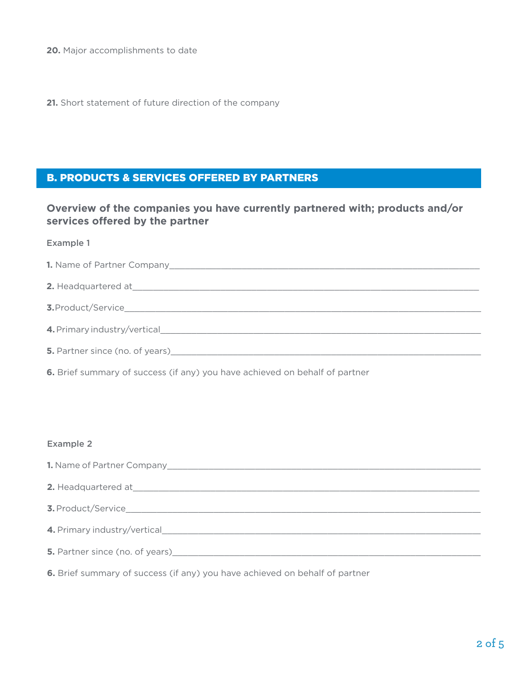**20.** Major accomplishments to date

**21.** Short statement of future direction of the company

## B. PRODUCTS & SERVICES OFFERED BY PARTNERS

### **Overview of the companies you have currently partnered with; products and/or services offered by the partner**

| Example 1                                                                                                                                                                                                                      |
|--------------------------------------------------------------------------------------------------------------------------------------------------------------------------------------------------------------------------------|
|                                                                                                                                                                                                                                |
|                                                                                                                                                                                                                                |
|                                                                                                                                                                                                                                |
| 4. Primary industry/vertical                                                                                                                                                                                                   |
| 5. Partner since (no. of years) https://www.com/community/community/community/community/community/community/community/community/community/community/community/community/community/community/community/community/community/comm |

**6.** Brief summary of success (if any) you have achieved on behalf of partner

#### Example 2

| 3. Product/Service                                                                                                                                                                                                             |
|--------------------------------------------------------------------------------------------------------------------------------------------------------------------------------------------------------------------------------|
|                                                                                                                                                                                                                                |
| 5. Partner since (no. of years) and the contract of the contract of the contract of the contract of the contract of the contract of the contract of the contract of the contract of the contract of the contract of the contra |
|                                                                                                                                                                                                                                |

**6.** Brief summary of success (if any) you have achieved on behalf of partner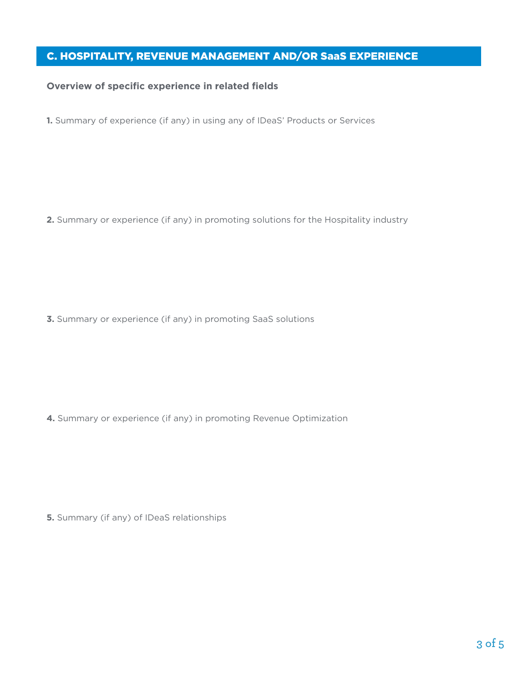# C. HOSPITALITY, REVENUE MANAGEMENT AND/OR SaaS EXPERIENCE

#### **Overview of specific experience in related fields**

**1.** Summary of experience (if any) in using any of IDeaS' Products or Services

**2.** Summary or experience (if any) in promoting solutions for the Hospitality industry

**3.** Summary or experience (if any) in promoting SaaS solutions

**4.** Summary or experience (if any) in promoting Revenue Optimization

**5.** Summary (if any) of IDeaS relationships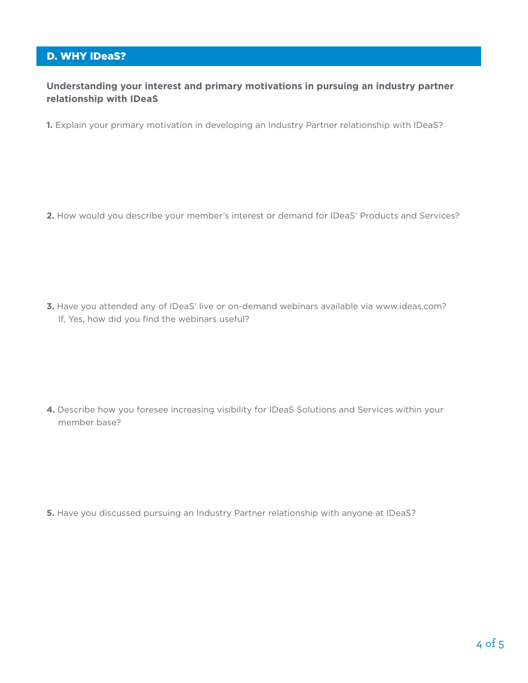# D. WHY IDeaS?

#### **Understanding your interest and primary motivations in pursuing an industry partner relationship with IDeaS**

**1.** Explain your primary motivation in developing an Industry Partner relationship with IDeaS?

**2.** How would you describe your member's interest or demand for IDeaS' Products and Services?

**3.** Have you attended any of IDeaS' live or on-demand webinars available via www.ideas.com? If, Yes, how did you find the webinars useful?

**4.** Describe how you foresee increasing visibility for IDeaS Solutions and Services within your member base?

**5.** Have you discussed pursuing an Industry Partner relationship with anyone at IDeaS?